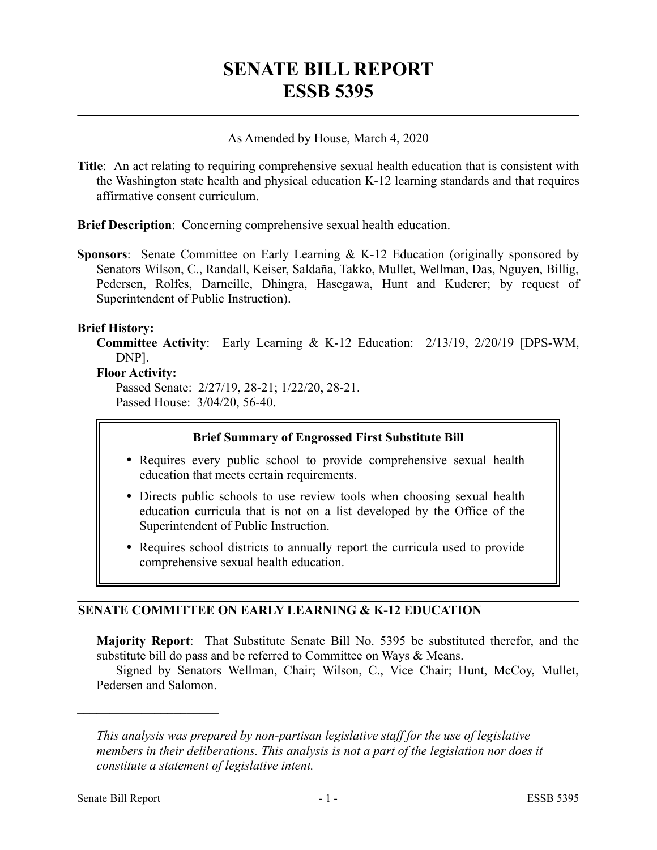# **SENATE BILL REPORT ESSB 5395**

#### As Amended by House, March 4, 2020

**Title**: An act relating to requiring comprehensive sexual health education that is consistent with the Washington state health and physical education K-12 learning standards and that requires affirmative consent curriculum.

**Brief Description**: Concerning comprehensive sexual health education.

**Sponsors**: Senate Committee on Early Learning & K-12 Education (originally sponsored by Senators Wilson, C., Randall, Keiser, Saldaña, Takko, Mullet, Wellman, Das, Nguyen, Billig, Pedersen, Rolfes, Darneille, Dhingra, Hasegawa, Hunt and Kuderer; by request of Superintendent of Public Instruction).

#### **Brief History:**

**Committee Activity**: Early Learning & K-12 Education: 2/13/19, 2/20/19 [DPS-WM, DNP].

#### **Floor Activity:**

Passed Senate: 2/27/19, 28-21; 1/22/20, 28-21. Passed House: 3/04/20, 56-40.

### **Brief Summary of Engrossed First Substitute Bill**

- Requires every public school to provide comprehensive sexual health education that meets certain requirements.
- Directs public schools to use review tools when choosing sexual health education curricula that is not on a list developed by the Office of the Superintendent of Public Instruction.
- Requires school districts to annually report the curricula used to provide comprehensive sexual health education.

## **SENATE COMMITTEE ON EARLY LEARNING & K-12 EDUCATION**

**Majority Report**: That Substitute Senate Bill No. 5395 be substituted therefor, and the substitute bill do pass and be referred to Committee on Ways & Means.

Signed by Senators Wellman, Chair; Wilson, C., Vice Chair; Hunt, McCoy, Mullet, Pedersen and Salomon.

––––––––––––––––––––––

*This analysis was prepared by non-partisan legislative staff for the use of legislative members in their deliberations. This analysis is not a part of the legislation nor does it constitute a statement of legislative intent.*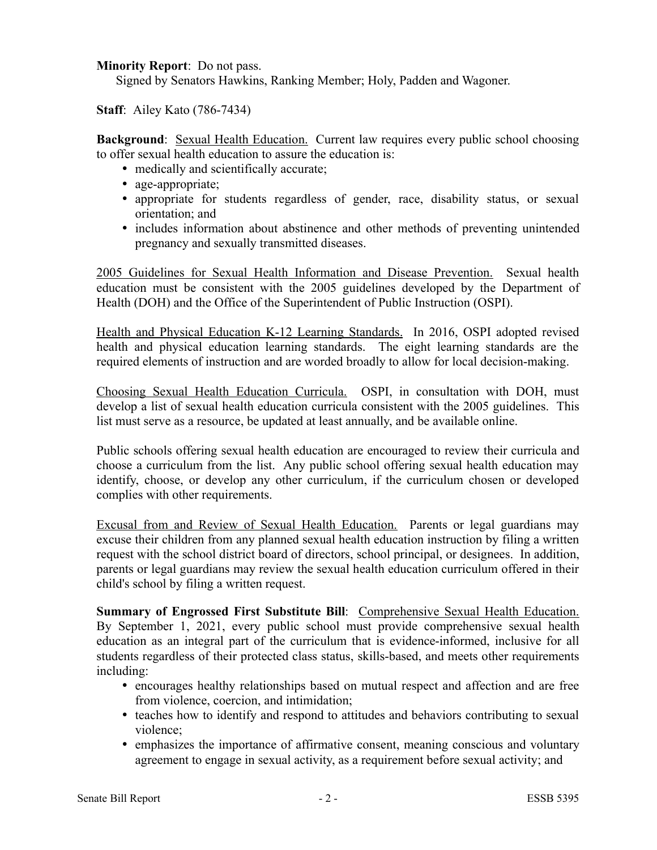**Minority Report**: Do not pass.

Signed by Senators Hawkins, Ranking Member; Holy, Padden and Wagoner.

**Staff**: Ailey Kato (786-7434)

**Background**: Sexual Health Education. Current law requires every public school choosing to offer sexual health education to assure the education is:

- medically and scientifically accurate;
- age-appropriate;
- appropriate for students regardless of gender, race, disability status, or sexual orientation; and
- includes information about abstinence and other methods of preventing unintended pregnancy and sexually transmitted diseases.

2005 Guidelines for Sexual Health Information and Disease Prevention. Sexual health education must be consistent with the 2005 guidelines developed by the Department of Health (DOH) and the Office of the Superintendent of Public Instruction (OSPI).

Health and Physical Education K-12 Learning Standards. In 2016, OSPI adopted revised health and physical education learning standards. The eight learning standards are the required elements of instruction and are worded broadly to allow for local decision-making.

Choosing Sexual Health Education Curricula. OSPI, in consultation with DOH, must develop a list of sexual health education curricula consistent with the 2005 guidelines. This list must serve as a resource, be updated at least annually, and be available online.

Public schools offering sexual health education are encouraged to review their curricula and choose a curriculum from the list. Any public school offering sexual health education may identify, choose, or develop any other curriculum, if the curriculum chosen or developed complies with other requirements.

Excusal from and Review of Sexual Health Education. Parents or legal guardians may excuse their children from any planned sexual health education instruction by filing a written request with the school district board of directors, school principal, or designees. In addition, parents or legal guardians may review the sexual health education curriculum offered in their child's school by filing a written request.

**Summary of Engrossed First Substitute Bill**: Comprehensive Sexual Health Education. By September 1, 2021, every public school must provide comprehensive sexual health education as an integral part of the curriculum that is evidence-informed, inclusive for all students regardless of their protected class status, skills-based, and meets other requirements including:

- encourages healthy relationships based on mutual respect and affection and are free from violence, coercion, and intimidation;
- teaches how to identify and respond to attitudes and behaviors contributing to sexual violence;
- emphasizes the importance of affirmative consent, meaning conscious and voluntary agreement to engage in sexual activity, as a requirement before sexual activity; and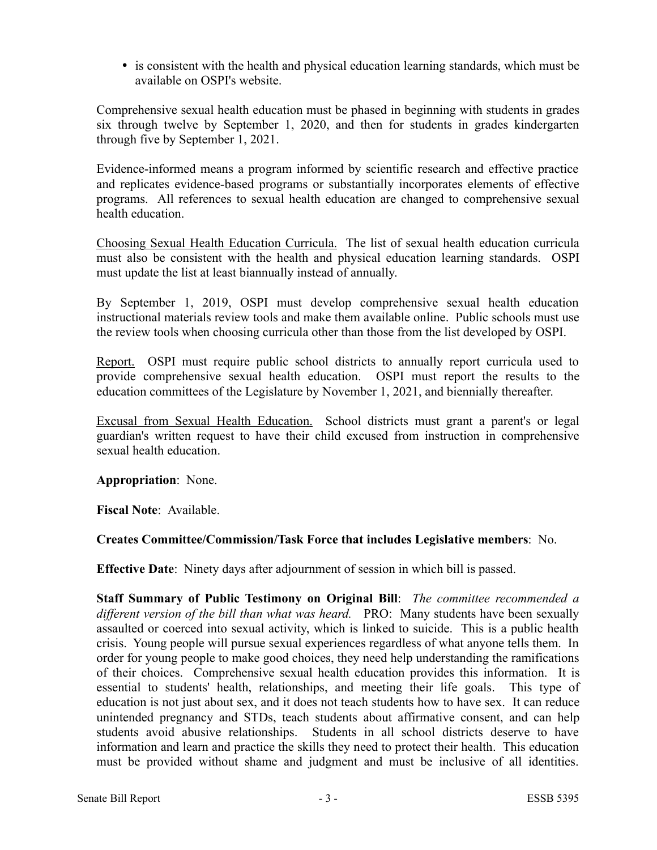• is consistent with the health and physical education learning standards, which must be available on OSPI's website.

Comprehensive sexual health education must be phased in beginning with students in grades six through twelve by September 1, 2020, and then for students in grades kindergarten through five by September 1, 2021.

Evidence-informed means a program informed by scientific research and effective practice and replicates evidence-based programs or substantially incorporates elements of effective programs. All references to sexual health education are changed to comprehensive sexual health education.

Choosing Sexual Health Education Curricula. The list of sexual health education curricula must also be consistent with the health and physical education learning standards. OSPI must update the list at least biannually instead of annually.

By September 1, 2019, OSPI must develop comprehensive sexual health education instructional materials review tools and make them available online. Public schools must use the review tools when choosing curricula other than those from the list developed by OSPI.

Report. OSPI must require public school districts to annually report curricula used to provide comprehensive sexual health education. OSPI must report the results to the education committees of the Legislature by November 1, 2021, and biennially thereafter.

Excusal from Sexual Health Education. School districts must grant a parent's or legal guardian's written request to have their child excused from instruction in comprehensive sexual health education.

**Appropriation**: None.

**Fiscal Note**: Available.

# **Creates Committee/Commission/Task Force that includes Legislative members**: No.

**Effective Date**: Ninety days after adjournment of session in which bill is passed.

**Staff Summary of Public Testimony on Original Bill**: *The committee recommended a different version of the bill than what was heard.* PRO: Many students have been sexually assaulted or coerced into sexual activity, which is linked to suicide. This is a public health crisis. Young people will pursue sexual experiences regardless of what anyone tells them. In order for young people to make good choices, they need help understanding the ramifications of their choices. Comprehensive sexual health education provides this information. It is essential to students' health, relationships, and meeting their life goals. This type of education is not just about sex, and it does not teach students how to have sex. It can reduce unintended pregnancy and STDs, teach students about affirmative consent, and can help students avoid abusive relationships. Students in all school districts deserve to have information and learn and practice the skills they need to protect their health. This education must be provided without shame and judgment and must be inclusive of all identities.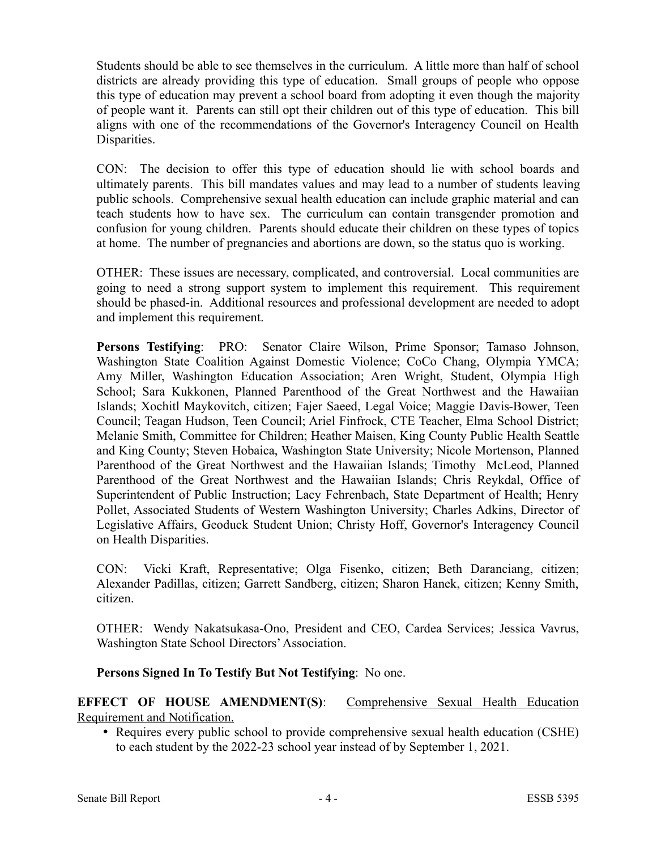Students should be able to see themselves in the curriculum. A little more than half of school districts are already providing this type of education. Small groups of people who oppose this type of education may prevent a school board from adopting it even though the majority of people want it. Parents can still opt their children out of this type of education. This bill aligns with one of the recommendations of the Governor's Interagency Council on Health Disparities.

CON: The decision to offer this type of education should lie with school boards and ultimately parents. This bill mandates values and may lead to a number of students leaving public schools. Comprehensive sexual health education can include graphic material and can teach students how to have sex. The curriculum can contain transgender promotion and confusion for young children. Parents should educate their children on these types of topics at home. The number of pregnancies and abortions are down, so the status quo is working.

OTHER: These issues are necessary, complicated, and controversial. Local communities are going to need a strong support system to implement this requirement. This requirement should be phased-in. Additional resources and professional development are needed to adopt and implement this requirement.

**Persons Testifying**: PRO: Senator Claire Wilson, Prime Sponsor; Tamaso Johnson, Washington State Coalition Against Domestic Violence; CoCo Chang, Olympia YMCA; Amy Miller, Washington Education Association; Aren Wright, Student, Olympia High School; Sara Kukkonen, Planned Parenthood of the Great Northwest and the Hawaiian Islands; Xochitl Maykovitch, citizen; Fajer Saeed, Legal Voice; Maggie Davis-Bower, Teen Council; Teagan Hudson, Teen Council; Ariel Finfrock, CTE Teacher, Elma School District; Melanie Smith, Committee for Children; Heather Maisen, King County Public Health Seattle and King County; Steven Hobaica, Washington State University; Nicole Mortenson, Planned Parenthood of the Great Northwest and the Hawaiian Islands; Timothy McLeod, Planned Parenthood of the Great Northwest and the Hawaiian Islands; Chris Reykdal, Office of Superintendent of Public Instruction; Lacy Fehrenbach, State Department of Health; Henry Pollet, Associated Students of Western Washington University; Charles Adkins, Director of Legislative Affairs, Geoduck Student Union; Christy Hoff, Governor's Interagency Council on Health Disparities.

CON: Vicki Kraft, Representative; Olga Fisenko, citizen; Beth Daranciang, citizen; Alexander Padillas, citizen; Garrett Sandberg, citizen; Sharon Hanek, citizen; Kenny Smith, citizen.

OTHER: Wendy Nakatsukasa-Ono, President and CEO, Cardea Services; Jessica Vavrus, Washington State School Directors' Association.

**Persons Signed In To Testify But Not Testifying**: No one.

**EFFECT OF HOUSE AMENDMENT(S):** Comprehensive Sexual Health Education Requirement and Notification.

• Requires every public school to provide comprehensive sexual health education (CSHE) to each student by the 2022-23 school year instead of by September 1, 2021.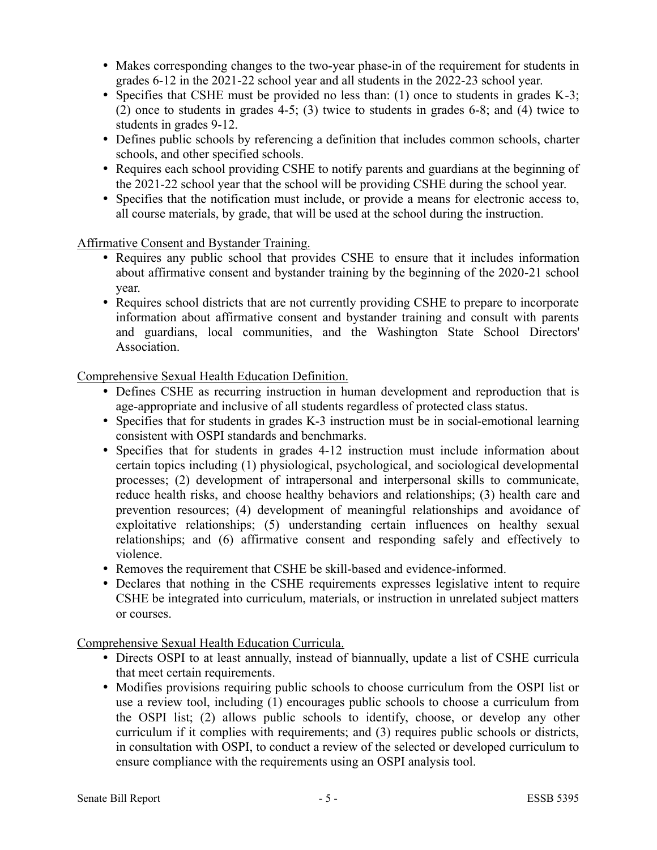- Makes corresponding changes to the two-year phase-in of the requirement for students in grades 6-12 in the 2021-22 school year and all students in the 2022-23 school year.
- Specifies that CSHE must be provided no less than: (1) once to students in grades K-3; (2) once to students in grades 4-5; (3) twice to students in grades 6-8; and (4) twice to students in grades 9-12.
- Defines public schools by referencing a definition that includes common schools, charter schools, and other specified schools.
- Requires each school providing CSHE to notify parents and guardians at the beginning of the 2021-22 school year that the school will be providing CSHE during the school year.
- Specifies that the notification must include, or provide a means for electronic access to, all course materials, by grade, that will be used at the school during the instruction.

Affirmative Consent and Bystander Training.

- Requires any public school that provides CSHE to ensure that it includes information about affirmative consent and bystander training by the beginning of the 2020-21 school year.
- Requires school districts that are not currently providing CSHE to prepare to incorporate information about affirmative consent and bystander training and consult with parents and guardians, local communities, and the Washington State School Directors' Association.

Comprehensive Sexual Health Education Definition.

- Defines CSHE as recurring instruction in human development and reproduction that is age-appropriate and inclusive of all students regardless of protected class status.
- Specifies that for students in grades K-3 instruction must be in social-emotional learning consistent with OSPI standards and benchmarks.
- Specifies that for students in grades 4-12 instruction must include information about certain topics including (1) physiological, psychological, and sociological developmental processes; (2) development of intrapersonal and interpersonal skills to communicate, reduce health risks, and choose healthy behaviors and relationships; (3) health care and prevention resources; (4) development of meaningful relationships and avoidance of exploitative relationships; (5) understanding certain influences on healthy sexual relationships; and (6) affirmative consent and responding safely and effectively to violence.
- Removes the requirement that CSHE be skill-based and evidence-informed.
- Declares that nothing in the CSHE requirements expresses legislative intent to require CSHE be integrated into curriculum, materials, or instruction in unrelated subject matters or courses.

Comprehensive Sexual Health Education Curricula.

- Directs OSPI to at least annually, instead of biannually, update a list of CSHE curricula that meet certain requirements.
- Modifies provisions requiring public schools to choose curriculum from the OSPI list or use a review tool, including (1) encourages public schools to choose a curriculum from the OSPI list; (2) allows public schools to identify, choose, or develop any other curriculum if it complies with requirements; and (3) requires public schools or districts, in consultation with OSPI, to conduct a review of the selected or developed curriculum to ensure compliance with the requirements using an OSPI analysis tool.